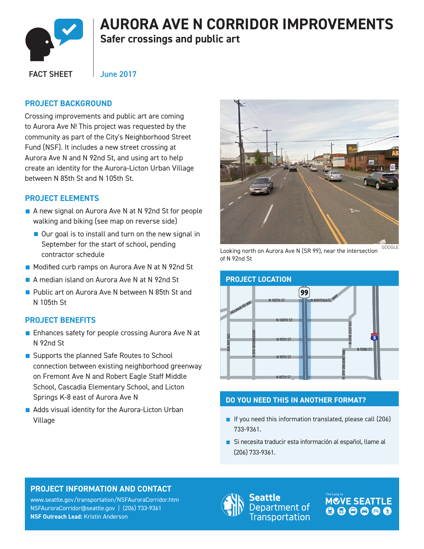

# **AURORA AVE N CORRIDOR IMPROVEMENTS**

**Safer crossings and public art** 

FACT SHEET

June 2017

#### **PROJECT BACKGROUND**

Crossing improvements and public art are coming to Aurora Ave N! This project was requested by the community as part of the City's Neighborhood Street Fund (NSF). It includes a new street crossing at Aurora Ave N and N 92nd St, and using art to help create an identity for the Aurora-Licton Urban Village between N 85th St and N 105th St.

### **PROJECT ELEMENTS**

- A new signal on Aurora Ave N at N 92nd St for people walking and biking (see map on reverse side)
	- Our goal is to install and turn on the new signal in September for the start of school, pending contractor schedule
- Modified curb ramps on Aurora Ave N at N 92nd St
- A median island on Aurora Ave N at N 92nd St
- Public art on Aurora Ave N between N 85th St and N 105th St

#### **PROJECT BENEFITS**

- Enhances safety for people crossing Aurora Ave N at N 92nd St
- Supports the planned Safe Routes to School connection between existing neighborhood greenway on Fremont Ave N and Robert Eagle Staff Middle School, Cascadia Elementary School, and Licton Springs K-8 east of Aurora Ave N
- Adds visual identity for the Aurora-Licton Urban Village



Looking north on Aurora Ave N (SR 99), near the intersection GOOGLE of N 92nd St



#### **DO YOU NEED THIS IN ANOTHER FORMAT?**

- If you need this information translated, please call (206) 733-9361.
- Si necesita traducir esta información al español, llame al (206) 733-9361.

### **PROJECT INFORMATION AND CONTACT**

www.seattle.gov/transportation/NSFAuroraCorridor.htm NSFAuroraCorridor@seattle.gov | (206) 733-9361 **NSF Outreach Lead:** Kristin Anderson



eattle Department of **Transportation**  **MOVE SEATTLE**  $000000$